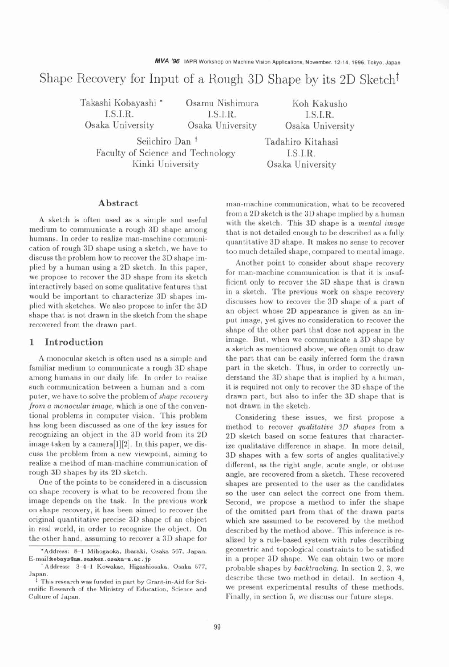# Shape Recovery for Input of a Rough 3D Shape by its 2D Sketch<sup> $†$ </sup>

Takashi Kobayashi \* Osamu Nishimura Koh Kakusho I.S.I.R. I.S.I.R. I.S.I.R.

Seiichiro Dan<sup>t</sup> Tadahiro Kitahasi Faculty of Science and Technology [I.S.I.R.] Kinki University Osaka University

Osaka University Osaka University Osaka University

#### **Abstract**

**A** sketch is often used as a simple and useful medium to communicate a rough 3D shape among humans. In order to realize man-machine communication of rough 3D shape using a sketch, we have to discuss the problem how to recover the 3D shape implied by a human using a 2D sketch. In this paper, we propose to recover the 3D shape from its sketch interactively based on some qualitative features that would be important to characterize 3D shapes implied with sketches. We also propose to infer the 3D shape that is not drawn in the sketch from the shape recovered from the drawn part.

## **1 Introduction**

**A** monocular sketch is often used as a simple and familiar medium to communicate a rough 3D shape among humans in our daily life. In order to realize such communication between a human and a computer, we have to solve the problem of *shape recovery from a monocular image,* which is one of the conventional problems in computer vision. This problem has long been discussed as one of the key issues for recognizing an object in the 3D world from its 2D image taken by a camera[l][2]. In this paper, we discuss the problem from a new viewpoint, aiming to realize a method of man-machine communication of rough 3D shapes by its 2D sketch.

One of the points to be considered in a discussion on shape recovery is what to be recovered from the image depends on the task. In the previous work on shape recovery, it has been aimed to recover the original quantitative precise 3D shape of an object in real world, in order to recognize the object. On the other hand, assuming to recover a 3D shape for

man-machine communication, what to be recovered from a 2D sketch is the 3D shape implied by a human with the sketch. This 3D shape is a *mental image*  that is not detailed enough to be described as a fully quantitative 3D shape. It makes no sense to recover too much detailed shape, compared to mental image.

Another point to consider about shape recovery for man-machine communication is that it is insufficient only to recover the 3D shape that is drawn in a sketch. The previous work on shape recovery discusses how to recover the 3D shape of a part of an object whose 2D appearance is given as an input image, yet gives no consideration to recover the shape of the other part that dose not appear in the image. But, when we communicate a 3D shape by a sketch as mentioned above, we often omit to draw the part that can be easily inferred form the drawn part in the sketch. Thus, in order to correctly understand the 3D shape that is implied by a human, it is required not only to recover the 3D shape of the drawn part, but also to infer the 3D shape that is not drawn in the sketch.

Considering these issues, we first propose a method to recover *qualitative* **3D** *shapes* from a 2D sketch based on some features that characterize qualitative difference in shape. In more detail, 3D shapes with a few sorts of angles qualitatively different, as the right angle, acute angle, or obtuse angle, are recovered from a sketch. These recovered shapes are presented to the user as the candidates so the user can select the correct one from them. Second, we propose a method to infer the shape of the omitted part from that of the drawn parts which are assumed to be recovered by the method described by the method above. This inference is realized by a rule-based system with rules describing geometric and topological constraints to be satisfied in a proper 3D shape. We can obtain two or more probable shapes by *backtracking.* In section 2, 3, we describe these two method in detail. In section 4, we present experimental results of these methods. Finally, in section 5, we discuss our future steps.

**<sup>&#</sup>x27;Address: 8-1 Mihogaoka, Ibaraki, Osaka 567, Japan. E-rnail:kobaysQam. sanken. osaka-u .ac** . **jp** 

t **Address: 3-4-1 Kowakae, Higashiosaka, Osaka 577, Japan.** 

<sup>&</sup>lt;sup>1</sup> This research was funded in part by Grant-in-Aid for Sci**entific Research of the Ministry of Education, Science and Culture of Japan.**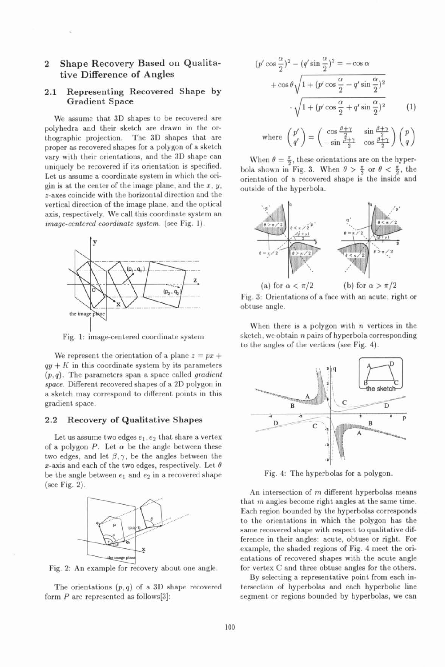# **2 Shape Recovery Based on Qualitative Difference of Angles**

## **2.1 Representing Recovered Shape by Gradient Space**

We assume that 3D shapes to be recovered are polyhedra and their sketch are drawn in the orthographic projection. The 3D shapes that are proper as recovered shapes for a polygon of a sketch vary with their orientations, and the 3D shape can uniquely be recovered if its orientation is specified. Let us assume a coordinate system in which the origin is at the center of the image plane, and the  $x, y$ , z-axes coincide with the horizontal direction and the vertical direction of the image plane, and the optical axis, respectively. We call this coordinate system an image-centered coordinate system. (see Fig. 1).



Fig. 1: image-centered coordinate system

We represent the orientation of a plane  $z = px +$  $qy + K$  in this coordinate system by its parameters  $(p, q)$ . The parameters span a space called gradient space. Different recovered shapes of a 2D polygon in a sketch may correspond to different points in this gradient space.

#### **2.2 Recovery of Qualitative Shapes**

Let us assume two edges  $e_1, e_2$  that share a vertex of a polygon  $P$ . Let  $\alpha$  be the angle between these two edges, and let  $\beta$ ,  $\gamma$ , be the angles between the x-axis and each of the two edges, respectively. Let  $\theta$ be the angle between  $e_1$  and  $e_2$  in a recovered shape (see Fig. **2).** 



Fig. 2: An example for recovery about one angle.

The orientations  $(p, q)$  of a 3D shape recovered form  $P$  are represented as follows [3]:

$$
(p'\cos\frac{\alpha}{2})^2 - (q'\sin\frac{\alpha}{2})^2 = -\cos\alpha
$$
  
+  $\cos\theta \sqrt{1 + (p'\cos\frac{\alpha}{2} - q'\sin\frac{\alpha}{2})^2}$   
 $\cdot \sqrt{1 + (p'\cos\frac{\alpha}{2} + q'\sin\frac{\alpha}{2})^2}$  (1)

where 
$$
\begin{pmatrix} p' \\ q' \end{pmatrix} = \begin{pmatrix} \cos \frac{\beta + \gamma}{2} & \sin \frac{\beta + \gamma}{2} \\ -\sin \frac{\beta + \gamma}{2} & \cos \frac{\beta + \gamma}{2} \end{pmatrix} \begin{pmatrix} p \\ q \end{pmatrix}
$$

When  $\theta = \frac{\pi}{2}$ , these orientations are on the hyperbola shown in Fig. 3. When  $\theta > \frac{\pi}{2}$  or  $\theta < \frac{\pi}{2}$ , the orientation of a recovered shape is the inside and outside of the hyperbola.



Fig. 3: Orientations of a face with an acute, right or obtuse angle.

When there is a polygon with  $n$  vertices in the sketch, we obtain  $n$  pairs of hyperbola corresponding to the angles of the vertices (see Fig. 4).



Fig. 4: The hyperbolas for a polygon.

An intersection of  $m$  different hyperbolas means that  $m$  angles become right angles at the same time. Each region bounded by the hyperbolas corresponds to the orientations in which the polygon has the same recovered shape with respect to qualitative difference in their angles: acute, obtuse or right. For example, the shaded regions of Fig. 4 meet the orientations of recovered shapes with the acute angle for vertex C and three obtuse angles for the others.

By selecting a representative point from each intersection of hyperbolas and each hyperbolic line segment or regions bounded by hyperbolas, we can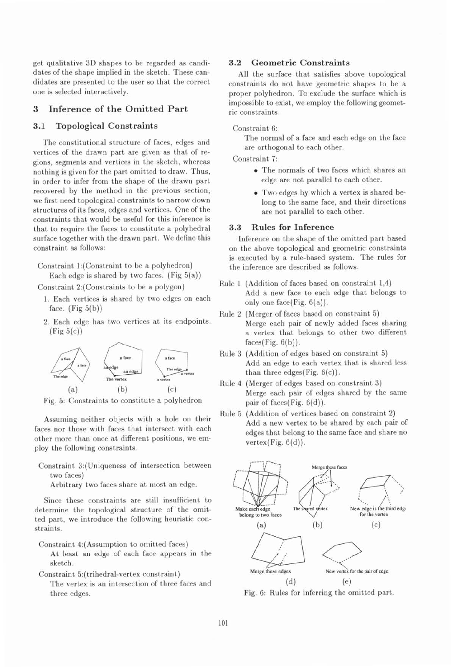get qdalitative 3D shapes to be regarded as candidates of the shape implied in the sketch. These candidates are presented to the user so that the correct one is selected interactively.

#### **3 Inference of the Omitted Part**

### **3.1 Topological Constraints**

The constitutional structure of faces, edges and vertices of the drawn part are given as that of regions, segments and vertices in the sketch, whereas nothing is given for the part omitted to draw. Thus, in order to infer from the shape of the drawn part recovered by the method in the previous section, we first need topological constraints to narrow down structures of its faces, edges and vertices. One of the constraints that would be useful for this inference is that to require the faces to constitute a polyhedral surface together with the drawn part. We define this constraint as follows:

Constraint l:(Constraint to be a polyhedron) Each edge is shared by two faces. (Fig  $5(a)$ )

Constraint 2:(Constraints to be a polygon)

- 1. Each vertices is shared by two edges on each face.  $(Fig 5(b))$
- 2. Each edge has two vertices at its endpoints.  $(Fig 5(c))$



Fig. 5: Constraints to constitute a polyhedron

Assuming neither objects with a hole on their faces nor those with faces that intersect with each other more than once at different positions, we employ the following constraints.

Constraint 3:(Uniqueness of intersection between two faces)

Arbitrary two faces share at most an edge.

Since these constraints are still insufficient to determine the topological structure of the omitted part, we introduce the following heuristic constraints.

- Constraint 4:(Assumption to omitted faces)
	- At least an edge of each face appears in the sketch.
- Constraint 5: (trihedral-vertex constraint)

The vertex is an intersection of three faces and three edges.

# **3.2 Geometric Constraints**

All the surface that satisfies above topological constraints do not have geometric shapes to be a proper polyhedron. To exclude the surface which is impossible to exist, we employ the following geometric constraints.

#### Constraint 6:

The normal of a face and each edge on the face are orthogonal to each other.

Constraint 7:

- The normals of two faces which shares an edge are not parallel to each other.
- Two edges by which a vertex is shared belong to the same face, and their directions are not parallel to each other.

#### **3.3 Rules for Inference**

Inference on the shape of the omitted part based on the above topological and geometric constraints is executed by a rule-based system. The rules for the inference are described as follows.

- Rule 1 (Addition of faces based on constraint 1,4) Add a new face to each edge that belongs to only one face(Fig.  $6(a)$ ).
- Rule **2** (Merger of faces based on constraint 5) Merge each pair of newly added faces sharing a vertex that belongs to other two different  $faces(Fig. 6(b)).$
- Rule **3** (Addition of edges based on constraint 5) Add an edge to each vertex that is shared less than three edges(Fig.  $6(c)$ ).
- Rule 4 (Merger of edges based on constraint 3) Merge each pair of edges shared by the same pair of faces(Fig.  $6(d)$ ).
- Rule 5 (Addition of vertices based on constraint 2) Add a new vertex to be shared by each pair of edges that belong to the same face and share no vertex $(Fig. 6(d))$ .



Fig. 6: Rules for inferring the omitted part.